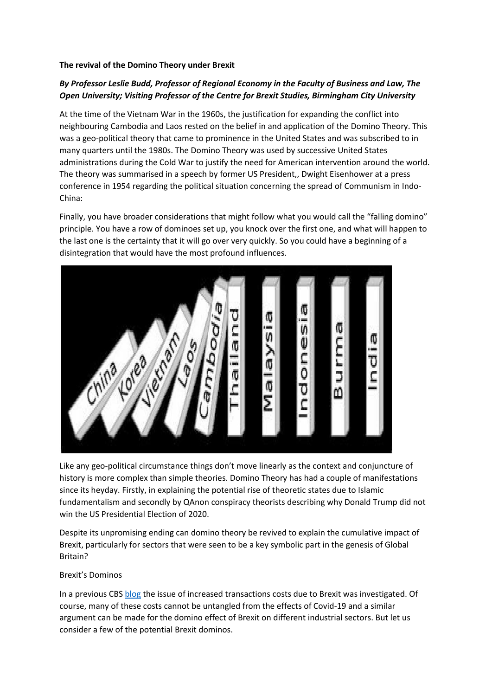### **The revival of the Domino Theory under Brexit**

# *By Professor Leslie Budd, Professor of Regional Economy in the Faculty of Business and Law, The Open University; Visiting Professor of the Centre for Brexit Studies, Birmingham City University*

At the time of the Vietnam War in the 1960s, the justification for expanding the conflict into neighbouring Cambodia and Laos rested on the belief in and application of the Domino Theory. This was a geo-political theory that came to prominence in the United States and was subscribed to in many quarters until the 1980s. The Domino Theory was used by successive United States administrations during the Cold War to justify the need for American intervention around the world. The theory was summarised in a speech by former US President,, Dwight Eisenhower at a press conference in 1954 regarding the political situation concerning the spread of Communism in Indo-China:

Finally, you have broader considerations that might follow what you would call the "falling domino" principle. You have a row of dominoes set up, you knock over the first one, and what will happen to the last one is the certainty that it will go over very quickly. So you could have a beginning of a disintegration that would have the most profound influences.



Like any geo-political circumstance things don't move linearly as the context and conjuncture of history is more complex than simple theories. Domino Theory has had a couple of manifestations since its heyday. Firstly, in explaining the potential rise of theoretic states due to Islamic fundamentalism and secondly by QAnon conspiracy theorists describing why Donald Trump did not win the US Presidential Election of 2020.

Despite its unpromising ending can domino theory be revived to explain the cumulative impact of Brexit, particularly for sectors that were seen to be a key symbolic part in the genesis of Global Britain?

### Brexit's Dominos

In a previous CBS [blog](https://centreforbrexitstudiesblog.wordpress.com/2021/04/26/are-brexits-transaction-costs-levelling-down-uks-global-super-league-position/) the issue of increased transactions costs due to Brexit was investigated. Of course, many of these costs cannot be untangled from the effects of Covid-19 and a similar argument can be made for the domino effect of Brexit on different industrial sectors. But let us consider a few of the potential Brexit dominos.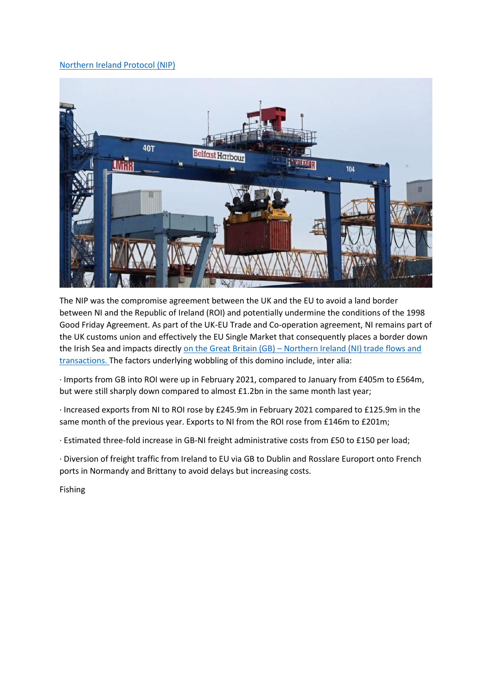### [Northern Ireland Protocol \(NIP\)](https://youtu.be/z3zdgLxE7KE)



The NIP was the compromise agreement between the UK and the EU to avoid a land border between NI and the Republic of Ireland (ROI) and potentially undermine the conditions of the 1998 Good Friday Agreement. As part of the UK-EU Trade and Co-operation agreement, NI remains part of the UK customs union and effectively the EU Single Market that consequently places a border down the Irish Sea and impacts directly on the Great Britain (GB) – [Northern Ireland \(NI\) trade flows and](https://www.economicsobservatory.com/how-is-brexit-affecting-northern-irelands-economy)  [transactions.](https://www.economicsobservatory.com/how-is-brexit-affecting-northern-irelands-economy) The factors underlying wobbling of this domino include, inter alia:

· Imports from GB into ROI were up in February 2021, compared to January from £405m to £564m, but were still sharply down compared to almost £1.2bn in the same month last year;

· Increased exports from NI to ROI rose by £245.9m in February 2021 compared to £125.9m in the same month of the previous year. Exports to NI from the ROI rose from £146m to £201m;

· Estimated three-fold increase in GB-NI freight administrative costs from £50 to £150 per load;

· Diversion of freight traffic from Ireland to EU via GB to Dublin and Rosslare Europort onto French ports in Normandy and Brittany to avoid delays but increasing costs.

Fishing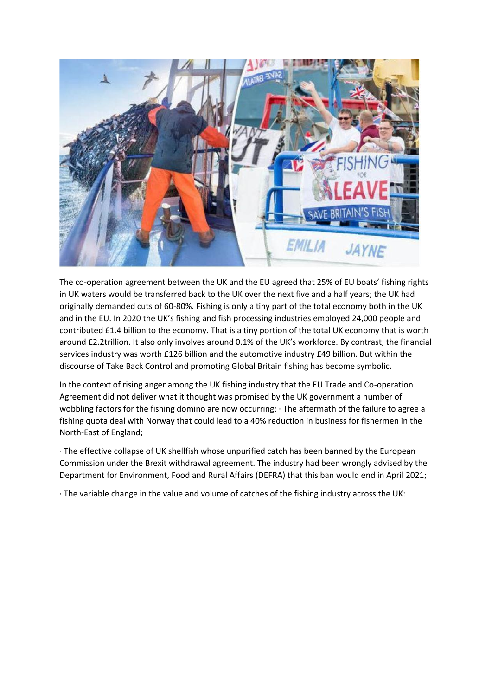

The co-operation agreement between the UK and the EU agreed that 25% of EU boats' fishing rights in UK waters would be transferred back to the UK over the next five and a half years; the UK had originally demanded cuts of 60-80%. Fishing is only a tiny part of the total economy both in the UK and in the EU. In 2020 the UK's fishing and fish processing industries employed 24,000 people and contributed £1.4 billion to the economy. That is a tiny portion of the total UK economy that is worth around £2.2trillion. It also only involves around 0.1% of the UK's workforce. By contrast, the financial services industry was worth £126 billion and the automotive industry £49 billion. But within the discourse of Take Back Control and promoting Global Britain fishing has become symbolic.

In the context of rising anger among the UK fishing industry that the EU Trade and Co-operation Agreement did not deliver what it thought was promised by the UK government a number of wobbling factors for the fishing domino are now occurring: · The aftermath of the failure to agree a fishing quota deal with Norway that could lead to a 40% reduction in business for fishermen in the North-East of England;

· The effective collapse of UK shellfish whose unpurified catch has been banned by the European Commission under the Brexit withdrawal agreement. The industry had been wrongly advised by the Department for Environment, Food and Rural Affairs (DEFRA) that this ban would end in April 2021;

· The variable change in the value and volume of catches of the fishing industry across the UK: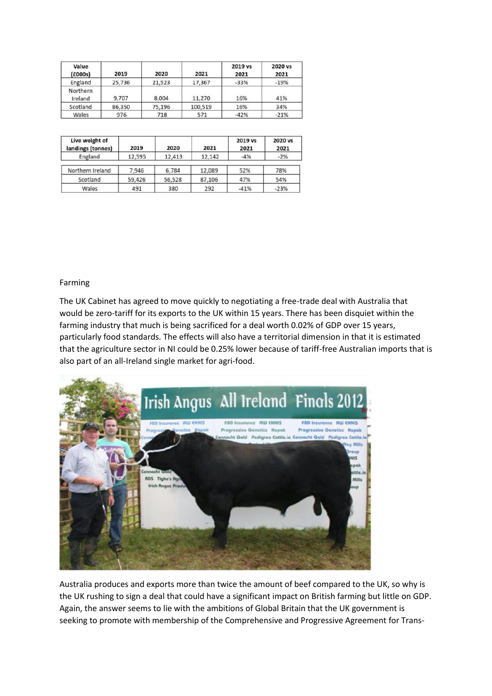| Value<br>(£000s)    | 2019   | 2020   | 2021    | 2019 vs<br>2021 | 2020 vs<br>2021 |
|---------------------|--------|--------|---------|-----------------|-----------------|
| England             | 25,736 | 21,523 | 17,367  | $-33%$          | $-19%$          |
| Northern<br>Ireland | 9,707  | 8,004  | 11,270  | 16%             | 41%             |
| Scotland            | 86,350 | 75,196 | 100,519 | 16%             | 34%             |
| Wales               | 976    | 718    | 571     | $-42%$          | $-21%$          |

| Live weight of<br>landings (tonnes) | 2019   | 2020   | 2021   | 2019 vs<br>2021 | 2020 vs<br>2021 |
|-------------------------------------|--------|--------|--------|-----------------|-----------------|
| England                             | 12,595 | 12,413 | 12,142 | $-4%$           | $-2%$           |
| Northern Ireland                    | 7,946  | 6,784  | 12,089 | 52%             | 78%             |
| Scotland                            | 59,426 | 56,528 | 87,106 | 47%             | 54%             |
| Wales                               | 491    | 380    | 292    | $-41%$          | $-23%$          |

#### Farming

The UK Cabinet has agreed to move quickly to negotiating a free-trade deal with Australia that would be zero-tariff for its exports to the UK within 15 years. There has been disquiet within the farming industry that much is being sacrificed for a deal worth 0.02% of GDP over 15 years, particularly food standards. The effects will also have a territorial dimension in that it is estimated that the agriculture sector in NI could be 0.25% lower because of tariff-free Australian imports that is also part of an all-Ireland single market for agri-food.



Australia produces and exports more than twice the amount of beef compared to the UK, so why is the UK rushing to sign a deal that could have a significant impact on British farming but little on GDP. Again, the answer seems to lie with the ambitions of Global Britain that the UK government is seeking to promote with membership of the Comprehensive and Progressive Agreement for Trans